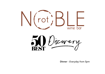



Dinner - *Everyday from 5pm*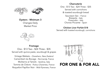



#### Oysters - Minimum 3

Changes Daily Market Price

#### **Charcuterie**

One - \$13 Two - \$24 Three - \$35 Served with cornichons

& toasted sourdough bread

Saucisson Sec - *France* Bresaola - *Italy* Prosciutto - *Italy* Chorizo Piccante - *Spain*

## Chicken Liver Parfait \$18

Served with toasted sourdough, cornichons



#### Fromage

One - \$13 Two - \$24 Three - \$35 Served with quince paste, sourdough & grapes

Vintage Waikato - *Onewhero, New Zealand* Camembert du Bocage - *Normandy, France* Moliterno al Tartufo - *Sardinia, Italy* Tomme de Chèvre - *Poitou-Charentes, France* Roquefort Papillon Noir - *Midi-Pyrenees, France*

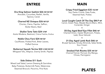## ENTREE

# MAIN

#### Ora King Salmon Sashimi \$26 NF/GF/DF

Avocado, Cucumber, Radish, Vanilla, Tapioca, Caviar

#### ~ Charred NZ Octopus \$26 NF/GF

Chorizo, Clams, Paprika, Saffron, Butter Beans, Basil

#### ~ Shallot Tarte Tatin \$24 V/NF

Aceto Modena, Beetroot, Crème Fraîche, Endive

### Noble Chou Farci \$24 NF/GF

Cauliflower, Pickled Pork, Bitter Leaves, Puffed Quinoa

#### ~ Butternut Squash Terrine \$24 V/NF/GF/DF

Whipped Tofu, Allspice, Granny Smith, Pepitas

### Side Dishes \$11 Each

Mixed Leaf Salad, Lemon Dressing & Garnishes Baby Potatoes, Buttermilk Pesto, Watercress Steamed Broccoli, Pecorino, Pine Nuts **PLATES** 

## Crispy Fried Eggplant \$35 VG/NF

Soy, Panko Crumb, Date Purée, Steamed Kale, Pickles

#### $\ddot{\phantom{0}}$ Local Caught Catch Of The Day \$M.P NF

Carrot, Green Peas, Wasabi Beurre Blanc, Mint, Coriander, Ginger

## ~ 55-Day Aged Beef Eye Fillet \$46 NF

Charred Onion, Oyster Mushroom, Potato, Leek, Stout Velouté

## $\ddot{\phantom{0}}$ 21-Day Aged Lamb Rack \$46 GF

Brussel Sprouts, Smoky Almonds, Salsa Verde, Sour Cream

## ~

#### Smoked Fish Risotto \$35 NF/GF

Charred Fennel, Pernod, Dry Mango, Chives, Parmigiano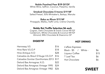#### Noble Poached Pear \$19 GF/DF

White Wine, Saffron, Coconut, Pistachio, Vanilla

#### $\sim$ Smoked Chocolate S'mores \$19 NF

Salted Pretzel, 50% Whittaker's, Baileys, Manuka

#### $\sim$ Baba au Rhum \$19 NF

Pineapple, Malibu, Kaffir Lime, Crème Chantilly

#### $\ddot{\phantom{1}}$ Noble Rot Truffle Selection \$6 each

Cognac, Dark Chocolate & Dutch Cocoa NF/GF Cardamom, White Chocolate & Coconut NF/GF Almond, Milk Chocolate & Disaronno GF

### DIGESTIF

| Hennessy V.S                           | \$16 |
|----------------------------------------|------|
| Hine Rare V.S.O.P                      | \$18 |
| Hine Antique X.O                       | \$28 |
| Calvados du Breuil D'Auge V.S.O.P      | \$16 |
| Calvados Gontier Domfrontais 2013 \$17 |      |
| Delord Bas Armagnac X.O.               | \$22 |
| Delord Bas Amagnac Vintage 1995        | \$24 |
| Delord Bas Amagnac Vintage 1982        | \$26 |

## HOT DRINKS

| L'affare Espresso      |  |      |
|------------------------|--|------|
| Black - $$5$ / White - |  | \$6  |
| Liqueur Coffee         |  | \$15 |
| T Leaf Tea             |  | \$6  |
| Hot Chocolate          |  | \$6  |

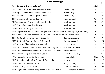## DESSERT WINE

| <b>DESSERT WINE</b>                                                                |                         |      |     |
|------------------------------------------------------------------------------------|-------------------------|------|-----|
| <b>New Zealand &amp; International</b>                                             |                         | 60ml |     |
| 2016 Stonecroft Late Harvest Gewürztraminer                                        | Hawke's Bay             | 14   |     |
| 2011 Alpha Domus Noble Selection Semillon                                          | Hawke's Bay             | 16   | 92  |
| 2010 Bilancia La Collina Viognier Tardieu                                          | Hawke's Bay             | 21   | 124 |
| 2017 Escarpment Hinemoa Riesling                                                   | Martinborough           | 16   | 88  |
| 2018 Johanneshof Noble Late Harvest Riesling                                       | Marlborough             | 15   | 87  |
| 2018 Fromm Beerenauslese Riesling                                                  | Marlborough             | 14   | 78  |
| 2019 Greywacke Botrytis Pinot Gris                                                 | Marlborough             | 15   | 84  |
| 2014 Pegasus Bay Finale Noble Barrique-Matured Sauvignon Blanc Waipara, Canterbury |                         | 16   | 88  |
| 2020 Corrado Tonelli Visner di Pergola Selezione Vino e Visciole Marche, Italy     |                         | 15   | 185 |
| 2017 De Bortoli Noble One Botrytis Semillon                                        | Riverina, Australia     | 14   | 79  |
| 2008 De Bortoli Deen Vat Series 5 Botrytis Semillon                                | Riverina, Australia     | 16   | 125 |
| 2017 Bodegas Olivares Dulce Monastrell                                             | Jumilla, Spain          | 16   | 117 |
| 2016 Robert Weil Kiedrich GRÄFENBERG Riesling Auslese Rheingau, Germany            |                         | 25   | 149 |
| 2014 Bott-Geyl Gewurztraminer VT "Clos des 3 Chemins"                              | Alsace, France          | 22   | 136 |
| 2015 Anselmi I Capitelli Recioto di Soave                                          | Soave, Veneto, Italy    | 17   | 96  |
| 1995 Monsanto Vin Santo del Chianti                                                | Tuscany, Italy          | N/A  | 195 |
| 2018 Donnafugata Ben Rye Passito di Pantelleria                                    | Sicily, Italy           | 21   | 119 |
| 2019 Oremus Tokaji Late Harvest                                                    | Tokaj, Hungary          | 22   | 139 |
| 2008 Gai'a Assyrtiko Vin Santo                                                     | Santorini, Greece       | 26   | 208 |
| 2013 Vega Sicilia Oremus Tokaji Aszu 6 Puttonyos - 500ml                           | Tokaj-Hegyalja, Hungary | N/A  | 275 |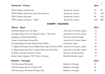# *Sauternes - France* 60ml 2019 Château Villefranche Christianus et al. et al. et al. et al. et al. et al. et al. et al. et al. et al. et a 2009 Château Suduiraut Lions de Suduiraut Christianus Sauternes, France 22 129 2003 Château Rieussec and Sauternes, France 28 165 1999 Château d'Yquem - 750ml<br>
Sauternes, France Manuel N. N. 1980

## SHERRY / MADEIRA

| <b>Sherry - Spain</b>                                                             |                             | 60ml |
|-----------------------------------------------------------------------------------|-----------------------------|------|
| Gonzalez Byass Fino Tio Pepe                                                      | Jerez de la Frontera, Spain | 14   |
| Gonzalez Byass Fino Tio Pepe En Rama - Thick Flor                                 | Jerez de la Frontera, Spain | 15   |
| Hidalgo La Gitana Manzanilla                                                      | Sanlúcar de Barrameda       | 16   |
| Lustau Amontillado Escuadrilla                                                    | Jerez de la Frontera, Spain | 17   |
| Gonzalez Byass Cuatro Palmas Amontillado                                          | Andalucía, Spain            | 18   |
| G. Byass Del Duque Amontillado Muy Viejo 30 Anos VORS Jerez de la Frontera, Spain |                             | 22   |
| G. Byass Apostoles Palo Cortado Rare and Old Solera                               | Jerez de la Frontera, Spain | 22   |
| Hidalgo La Gitana Oloroso Faraon                                                  | Sanlúcar de Barrameda       | 18   |
| Alvear Solera Reserva 1927 Pedro Ximénez                                          | Montilla-Morilez, Spain     | 17   |
| Madeira - Portugal                                                                |                             | 60ml |

| H & Henriques Rainwater              | Madeira, Portugal |    |
|--------------------------------------|-------------------|----|
| H & Henriques Sercial 10 Years Old   | Madeira, Portugal | 18 |
| H & Henriques Terrantez 20 Years Old | Madeira, Portugal | 25 |